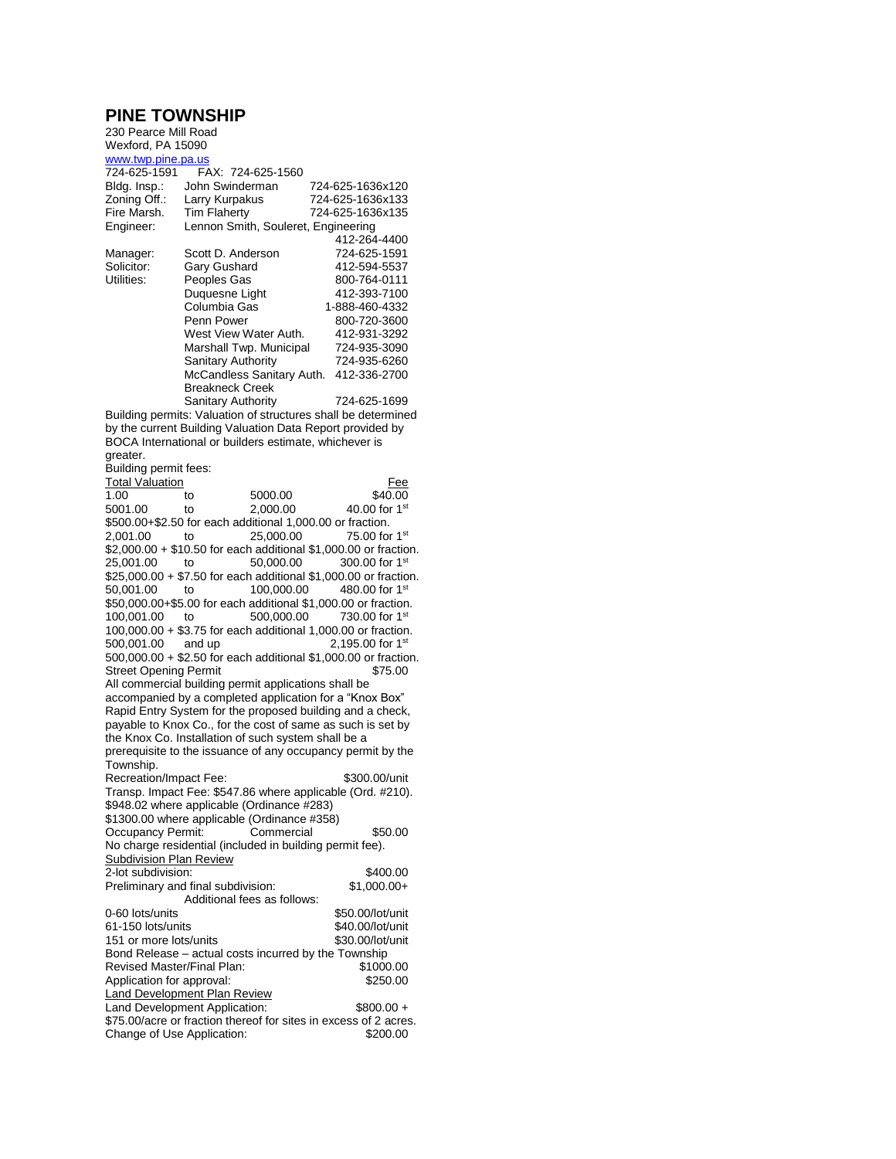## **PINE TOWNSHIP**

| 230 Pearce Mill Road                                                                                                |                                                           |                                                                  |  |  |  |
|---------------------------------------------------------------------------------------------------------------------|-----------------------------------------------------------|------------------------------------------------------------------|--|--|--|
| Wexford, PA 15090                                                                                                   |                                                           |                                                                  |  |  |  |
| www.twp.pine.pa.us<br>724-625-1591                                                                                  | FAX: 724-625-1560                                         |                                                                  |  |  |  |
| Bldg. Insp.:                                                                                                        | John Swinderman                                           | 724-625-1636x120                                                 |  |  |  |
| Zoning Off.:                                                                                                        | Larry Kurpakus                                            | 724-625-1636x133                                                 |  |  |  |
| Fire Marsh.                                                                                                         | <b>Tim Flaherty</b>                                       | 724-625-1636x135                                                 |  |  |  |
| Engineer:                                                                                                           | Lennon Smith, Souleret, Engineering                       |                                                                  |  |  |  |
|                                                                                                                     |                                                           | 412-264-4400                                                     |  |  |  |
| Manager:                                                                                                            | Scott D. Anderson                                         | 724-625-1591                                                     |  |  |  |
| Solicitor:                                                                                                          | Gary Gushard                                              | 412-594-5537                                                     |  |  |  |
| Utilities:                                                                                                          | Peoples Gas                                               | 800-764-0111                                                     |  |  |  |
|                                                                                                                     | Duquesne Light<br>Columbia Gas                            | 412-393-7100                                                     |  |  |  |
|                                                                                                                     | Penn Power                                                | 1-888-460-4332<br>800-720-3600                                   |  |  |  |
|                                                                                                                     | West View Water Auth.                                     | 412-931-3292                                                     |  |  |  |
|                                                                                                                     | Marshall Twp. Municipal                                   | 724-935-3090                                                     |  |  |  |
|                                                                                                                     | <b>Sanitary Authority</b>                                 | 724-935-6260                                                     |  |  |  |
|                                                                                                                     | McCandless Sanitary Auth.                                 | 412-336-2700                                                     |  |  |  |
|                                                                                                                     | <b>Breakneck Creek</b>                                    |                                                                  |  |  |  |
|                                                                                                                     | Sanitary Authority                                        | 724-625-1699                                                     |  |  |  |
|                                                                                                                     |                                                           | Building permits: Valuation of structures shall be determined    |  |  |  |
| by the current Building Valuation Data Report provided by                                                           |                                                           |                                                                  |  |  |  |
| BOCA International or builders estimate, whichever is                                                               |                                                           |                                                                  |  |  |  |
| greater.<br>Building permit fees:                                                                                   |                                                           |                                                                  |  |  |  |
| <b>Total Valuation</b>                                                                                              |                                                           | Fee                                                              |  |  |  |
| 1.00                                                                                                                | 5000.00<br>to                                             | \$40.00                                                          |  |  |  |
| 5001.00                                                                                                             | 2,000.00<br>to                                            | 40.00 for $1st$                                                  |  |  |  |
|                                                                                                                     | \$500.00+\$2.50 for each additional 1,000.00 or fraction. |                                                                  |  |  |  |
| 2,001.00                                                                                                            | 25,000.00<br>to                                           | 75.00 for $1st$                                                  |  |  |  |
|                                                                                                                     |                                                           | \$2,000.00 + \$10.50 for each additional \$1,000.00 or fraction. |  |  |  |
| 25,001.00                                                                                                           | 50,000.00<br>to                                           | 300.00 for 1 <sup>st</sup>                                       |  |  |  |
|                                                                                                                     |                                                           | \$25,000.00 + \$7.50 for each additional \$1,000.00 or fraction. |  |  |  |
| 100,000.00<br>480.00 for $1st$<br>50,001.00<br>to<br>\$50,000.00+\$5.00 for each additional \$1,000.00 or fraction. |                                                           |                                                                  |  |  |  |
| 100,001.00                                                                                                          | 500,000.00<br>to                                          | 730.00 for 1 <sup>st</sup>                                       |  |  |  |
| 100,000.00 + \$3.75 for each additional 1,000.00 or fraction.                                                       |                                                           |                                                                  |  |  |  |
| 2,195.00 for $1st$<br>500,001.00<br>and up                                                                          |                                                           |                                                                  |  |  |  |
| 500,000.00 + \$2.50 for each additional \$1,000.00 or fraction.                                                     |                                                           |                                                                  |  |  |  |
| <b>Street Opening Permit</b><br>\$75.00                                                                             |                                                           |                                                                  |  |  |  |
| All commercial building permit applications shall be                                                                |                                                           |                                                                  |  |  |  |
| accompanied by a completed application for a "Knox Box"                                                             |                                                           |                                                                  |  |  |  |
| Rapid Entry System for the proposed building and a check,                                                           |                                                           |                                                                  |  |  |  |
| payable to Knox Co., for the cost of same as such is set by<br>the Knox Co. Installation of such system shall be a  |                                                           |                                                                  |  |  |  |
| prerequisite to the issuance of any occupancy permit by the                                                         |                                                           |                                                                  |  |  |  |
| Township.                                                                                                           |                                                           |                                                                  |  |  |  |
| Recreation/Impact Fee:                                                                                              |                                                           | \$300.00/unit                                                    |  |  |  |
| Transp. Impact Fee: \$547.86 where applicable (Ord. #210).                                                          |                                                           |                                                                  |  |  |  |
|                                                                                                                     | \$948.02 where applicable (Ordinance #283)                |                                                                  |  |  |  |
|                                                                                                                     | \$1300.00 where applicable (Ordinance #358)               |                                                                  |  |  |  |
| Occupancy Permit:                                                                                                   | Commercial                                                | \$50.00                                                          |  |  |  |
| <b>Subdivision Plan Review</b>                                                                                      | No charge residential (included in building permit fee).  |                                                                  |  |  |  |
| 2-lot subdivision:                                                                                                  |                                                           | \$400.00                                                         |  |  |  |
|                                                                                                                     | Preliminary and final subdivision:                        | $$1,000.00+$                                                     |  |  |  |
|                                                                                                                     | Additional fees as follows:                               |                                                                  |  |  |  |
| 0-60 lots/units                                                                                                     |                                                           | \$50.00/lot/unit                                                 |  |  |  |
| 61-150 lots/units                                                                                                   |                                                           | \$40.00/lot/unit                                                 |  |  |  |
| 151 or more lots/units                                                                                              |                                                           | \$30.00/lot/unit                                                 |  |  |  |
| Bond Release – actual costs incurred by the Township                                                                |                                                           |                                                                  |  |  |  |
| Revised Master/Final Plan:<br>\$1000.00                                                                             |                                                           |                                                                  |  |  |  |
| Application for approval:<br>\$250.00                                                                               |                                                           |                                                                  |  |  |  |
| <b>Land Development Plan Review</b><br>Land Development Application:<br>$$800.00 +$                                 |                                                           |                                                                  |  |  |  |
|                                                                                                                     |                                                           | \$75.00/acre or fraction thereof for sites in excess of 2 acres. |  |  |  |
| Change of Use Application:<br>\$200.00                                                                              |                                                           |                                                                  |  |  |  |
|                                                                                                                     |                                                           |                                                                  |  |  |  |